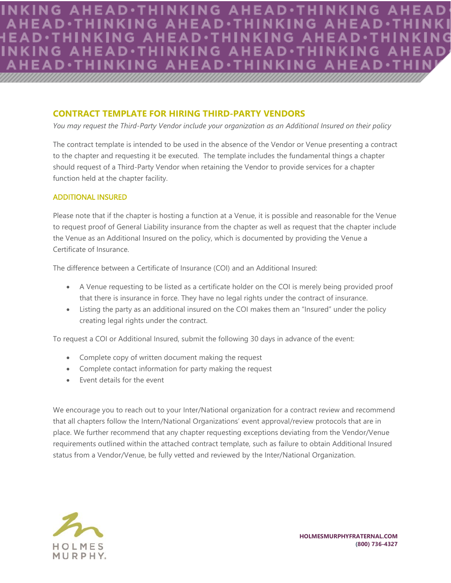KING A NG AH D. **G AHEAD**·THINKING AHE **EAD.THINKING AHEAD.T** D.

## **CONTRACT TEMPLATE FOR HIRING THIRD-PARTY VENDORS**

*You may request the Third-Party Vendor include your organization as an Additional Insured on their policy* 

The contract template is intended to be used in the absence of the Vendor or Venue presenting a contract to the chapter and requesting it be executed. The template includes the fundamental things a chapter should request of a Third-Party Vendor when retaining the Vendor to provide services for a chapter function held at the chapter facility. **CONTRACT TEMPLATE FOR HIRING THIRD-PARTY VENDORS**<br>*You may request the Third-Party Vendor include your organization as an Additional Insured*<br>The contract template is intended to be used in the absence of the Vendor or Ve

## ADDITIONAL INSURED *everumetur? equ assimax imagnat emporernam qui dolorro tet, site dol.*

Please note that if the chapter is hosting a function at a Venue, it is possible and reasonable for the Venue to request proof of General Liability insurance from the chapter as well as request that the chapter include the Venue as an Additional Insured on the policy, which is documented by providing the Venue a **Certificate of Insurance.** restability insurance from the chapter as well as request that the chapter include<br>sured on the policy, which is documented by providing the Venue a<br>tificate of Insurance (COI) and an Additional Insured: dollar sum estimate the chapter as well as request that the chapter includes<br>isured on the policy, which is documented by providing the Venue a<br>tificate of Insurance (COI) and an Additional Insured: *DIFFERENCE BY:*

The difference between a Certificate of Insurance (COI) and an Additional Insured:

- A Venue requesting to be listed as a certificate holder on the COI is merely being provided proof that there is insurance in force. They have no legal rights under the contract of insurance. is beholen as a cord
- Listing the party as an additional insured on the COI makes them an "Insured" under the policy creating legal rights under the contract. e in force. They have no legal rights under the contract of insurance.<br>In additional insured on the COI makes them an "Insured" under the policy<br>under the contract.<br>In Insured, submit the following 30 days in advance of th In additional insured on the COI makes them an "Insured" under the policy<br>
under the contract.<br>
Insured, submit the following 30 days in advance of the event:<br>
itten document making the request

To request a COI or Additional Insured, submit the following 30 days in advance of the event:

- Complete copy of written document making the request
- Complete contact information for party making the request e referred to commonloand making the request<br>ormation for party making the request<br>event
- Event details for the event Labores eaquia sum ipiet et, quiassit accum num quatur si de ipsam facersp

• Complete copy of written document making the request<br>• Complete contact information for party making the request<br>• Event details for the event<br>We encourage you to reach out to your Inter/National organization for a contr that all chapters follow the Intern/National Organizations' event approval/review protocols that are in place. We further recommend that any chapter requesting exceptions deviating from the Vendor/Venue requirements outlined within the attached contract template, such as failure to obtain Additional Insured status from a Vendor/Venue, be fully vetted and reviewed by the Inter/National Organization. erm/National Organizations event approval/review protocols that are in<br>d that any chapter requesting exceptions deviating from the Vendor/Venue<br>the attached contract template, such as failure to obtain Additional Insured<br>b d that any chapter requesting exceptions deviating from the Vendor/Venue<br>the attached contract template, such as failure to obtain Additional Insured<br>be fully vetted and reviewed by the Inter/National Organization.